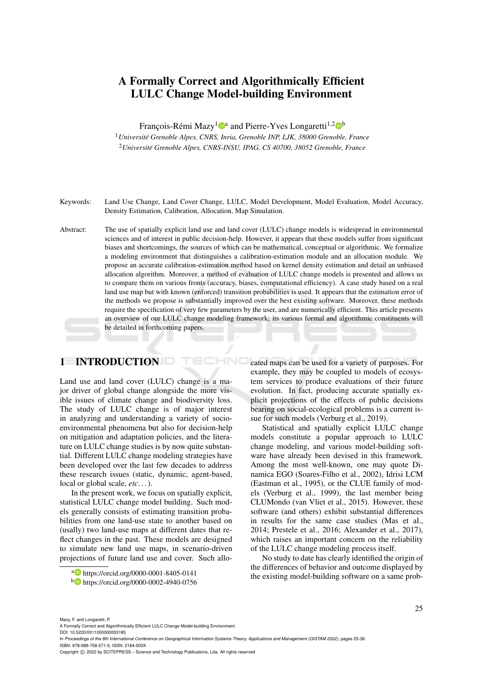# A Formally Correct and Algorithmically Efficient LULC Change Model-building Environment

François-Rémi Mazy<sup>1</sup><sup>®</sup> and Pierre-Yves Longaretti<sup>1,2</sup><sup>®</sup>

<sup>1</sup>*Universite Grenoble Alpes, CNRS, Inria, Grenoble INP, LJK, 38000 Grenoble, France ´* <sup>2</sup>*Universite Grenoble Alpes, CNRS-INSU, IPAG, CS 40700, 38052 Grenoble, France ´*

Keywords: Land Use Change, Land Cover Change, LULC, Model Development, Model Evaluation, Model Accuracy, Density Estimation, Calibration, Allocation, Map Simulation.

Abstract: The use of spatially explicit land use and land cover (LULC) change models is widespread in environmental sciences and of interest in public decision-help. However, it appears that these models suffer from significant biases and shortcomings, the sources of which can be mathematical, conceptual or algorithmic. We formalize a modeling environment that distinguishes a calibration-estimation module and an allocation module. We propose an accurate calibration-estimation method based on kernel density estimation and detail an unbiased allocation algorithm. Moreover, a method of evaluation of LULC change models is presented and allows us to compare them on various fronts (accuracy, biases, computational efficiency). A case study based on a real land use map but with known (enforced) transition probabilities is used. It appears that the estimation error of the methods we propose is substantially improved over the best existing software. Moreover, these methods require the specification of very few parameters by the user, and are numerically efficient. This article presents an overview of our LULC change modeling framework; its various formal and algorithmic constituents will be detailed in forthcoming papers.

HNC

## 1 INTRODUCTION

Land use and land cover (LULC) change is a major driver of global change alongside the more visible issues of climate change and biodiversity loss. The study of LULC change is of major interest in analyzing and understanding a variety of socioenvironmental phenomena but also for decision-help on mitigation and adaptation policies, and the literature on LULC change studies is by now quite substantial. Different LULC change modeling strategies have been developed over the last few decades to address these research issues (static, dynamic, agent-based, local or global scale, *etc*. . . ).

In the present work, we focus on spatially explicit, statistical LULC change model building. Such models generally consists of estimating transition probabilities from one land-use state to another based on (usally) two land-use maps at different dates that reflect changes in the past. These models are designed to simulate new land use maps, in scenario-driven projections of future land use and cover. Such allo-

<sup>a</sup> https://orcid.org/0000-0001-8405-0141

cated maps can be used for a variety of purposes. For example, they may be coupled to models of ecosystem services to produce evaluations of their future evolution. In fact, producing accurate spatially explicit projections of the effects of public decisions bearing on social-ecological problems is a current issue for such models (Verburg et al., 2019).

Statistical and spatially explicit LULC change models constitute a popular approach to LULC change modeling, and various model-building software have already been devised in this framework. Among the most well-known, one may quote Dinamica EGO (Soares-Filho et al., 2002), Idrisi LCM (Eastman et al., 1995), or the CLUE family of models (Verburg et al., 1999), the last member being CLUMondo (van Vliet et al., 2015). However, these software (and others) exhibit substantial differences in results for the same case studies (Mas et al., 2014; Prestele et al., 2016; Alexander et al., 2017), which raises an important concern on the reliability of the LULC change modeling process itself.

No study to date has clearly identified the origin of the differences of behavior and outcome displayed by the existing model-building software on a same prob-

Mazy, F. and Longaretti, P.

A Formally Correct and Algorithmically Efficient LULC Change Model-building Environment.

DOI: 10.5220/0011000000003185

In *Proceedings of the 8th International Conference on Geographical Information Systems Theory, Applications and Management (GISTAM 2022)*, pages 25-36 ISBN: 978-989-758-571-5; ISSN: 2184-500X

<sup>b</sup> https://orcid.org/0000-0002-4940-0756

Copyright (C) 2022 by SCITEPRESS - Science and Technology Publications, Lda. All rights reserved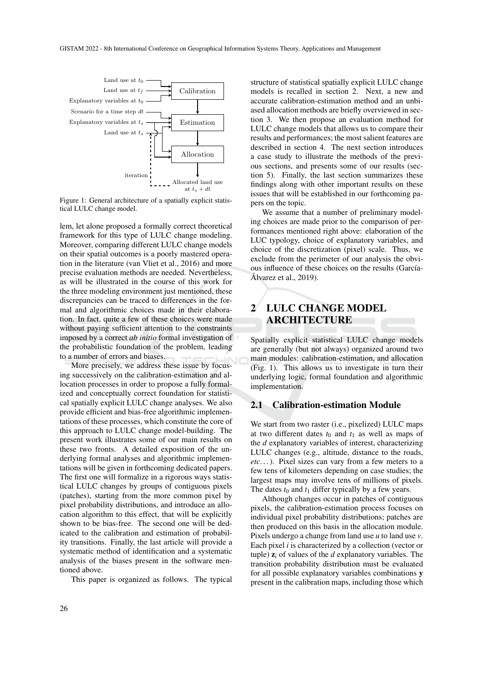

Figure 1: General architecture of a spatially explicit statistical LULC change model.

lem, let alone proposed a formally correct theoretical framework for this type of LULC change modeling. Moreover, comparing different LULC change models on their spatial outcomes is a poorly mastered operation in the literature (van Vliet et al., 2016) and more precise evaluation methods are needed. Nevertheless, as will be illustrated in the course of this work for the three modeling environment just mentioned, these discrepancies can be traced to differences in the formal and algorithmic choices made in their elaboration. In fact, quite a few of these choices were made without paying sufficient attention to the constraints imposed by a correct *ab initio* formal investigation of the probabilistic foundation of the problem, leading to a number of errors and biases.

More precisely, we address these issue by focusing successively on the calibration-estimation and allocation processes in order to propose a fully formalized and conceptually correct foundation for statistical spatially explicit LULC change analyses. We also provide efficient and bias-free algorithmic implementations of these processes, which constitute the core of this approach to LULC change model-building. The present work illustrates some of our main results on these two fronts. A detailed exposition of the underlying formal analyses and algorithmic implementations will be given in forthcoming dedicated papers. The first one will formalize in a rigorous ways statistical LULC changes by groups of contiguous pixels (patches), starting from the more common pixel by pixel probability distributions, and introduce an allocation algorithm to this effect, that will be explicitly shown to be bias-free. The second one will be dedicated to the calibration and estimation of probability transitions. Finally, the last article will provide a systematic method of identification and a systematic analysis of the biases present in the software mentioned above.

This paper is organized as follows. The typical

structure of statistical spatially explicit LULC change models is recalled in section 2. Next, a new and accurate calibration-estimation method and an unbiased allocation methods are briefly overviewed in section 3. We then propose an evaluation method for LULC change models that allows us to compare their results and performances; the most salient features are described in section 4. The next section introduces a case study to illustrate the methods of the previous sections, and presents some of our results (section 5). Finally, the last section summarizes these findings along with other important results on these issues that will be established in our forthcoming papers on the topic.

We assume that a number of preliminary modeling choices are made prior to the comparison of performances mentioned right above: elaboration of the LUC typology, choice of explanatory variables, and choice of the discretization (pixel) scale. Thus, we exclude from the perimeter of our analysis the obvious influence of these choices on the results (García- $\hat{A}$ lvarez et al., 2019).

# 2 LULC CHANGE MODEL ARCHITECTURE

Spatially explicit statistical LULC change models are generally (but not always) organized around two main modules: calibration-estimation, and allocation (Fig. 1). This allows us to investigate in turn their underlying logic, formal foundation and algorithmic implementation.

### 2.1 Calibration-estimation Module

We start from two raster (i.e., pixelized) LULC maps at two different dates  $t_0$  and  $t_1$  as well as maps of the *d* explanatory variables of interest, characterizing LULC changes (e.g., altitude, distance to the roads, *etc*. . . ). Pixel sizes can vary from a few meters to a few tens of kilometers depending on case studies; the largest maps may involve tens of millions of pixels. The dates  $t_0$  and  $t_1$  differ typically by a few years.

Although changes occur in patches of contiguous pixels, the calibration-estimation process focuses on individual pixel probability distributions; patches are then produced on this basis in the allocation module. Pixels undergo a change from land use *u* to land use *v*. Each pixel *i* is characterized by a collection (vector or tuple) z*<sup>i</sup>* of values of the *d* explanatory variables. The transition probability distribution must be evaluated for all possible explanatory variables combinations y present in the calibration maps, including those which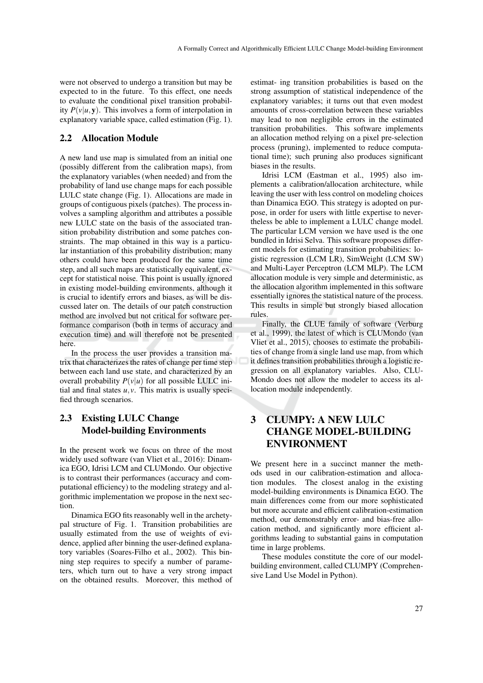were not observed to undergo a transition but may be expected to in the future. To this effect, one needs to evaluate the conditional pixel transition probability  $P(v|u, y)$ . This involves a form of interpolation in explanatory variable space, called estimation (Fig. 1).

### 2.2 Allocation Module

A new land use map is simulated from an initial one (possibly different from the calibration maps), from the explanatory variables (when needed) and from the probability of land use change maps for each possible LULC state change (Fig. 1). Allocations are made in groups of contiguous pixels (patches). The process involves a sampling algorithm and attributes a possible new LULC state on the basis of the associated transition probability distribution and some patches constraints. The map obtained in this way is a particular instantiation of this probability distribution; many others could have been produced for the same time step, and all such maps are statistically equivalent, except for statistical noise. This point is usually ignored in existing model-building environments, although it is crucial to identify errors and biases, as will be discussed later on. The details of our patch construction method are involved but not critical for software performance comparison (both in terms of accuracy and execution time) and will therefore not be presented here.

In the process the user provides a transition matrix that characterizes the rates of change per time step between each land use state, and characterized by an overall probability  $P(v|u)$  for all possible LULC initial and final states  $u, v$ . This matrix is usually specified through scenarios.

## 2.3 Existing LULC Change Model-building Environments

In the present work we focus on three of the most widely used software (van Vliet et al., 2016): Dinamica EGO, Idrisi LCM and CLUMondo. Our objective is to contrast their performances (accuracy and computational efficiency) to the modeling strategy and algorithmic implementation we propose in the next section.

Dinamica EGO fits reasonably well in the archetypal structure of Fig. 1. Transition probabilities are usually estimated from the use of weights of evidence, applied after binning the user-defined explanatory variables (Soares-Filho et al., 2002). This binning step requires to specify a number of parameters, which turn out to have a very strong impact on the obtained results. Moreover, this method of estimat- ing transition probabilities is based on the strong assumption of statistical independence of the explanatory variables; it turns out that even modest amounts of cross-correlation between these variables may lead to non negligible errors in the estimated transition probabilities. This software implements an allocation method relying on a pixel pre-selection process (pruning), implemented to reduce computational time); such pruning also produces significant biases in the results.

Idrisi LCM (Eastman et al., 1995) also implements a calibration/allocation architecture, while leaving the user with less control on modeling choices than Dinamica EGO. This strategy is adopted on purpose, in order for users with little expertise to nevertheless be able to implement a LULC change model. The particular LCM version we have used is the one bundled in Idrisi Selva. This software proposes different models for estimating transition probabilities: logistic regression (LCM LR), SimWeight (LCM SW) and Multi-Layer Perceptron (LCM MLP). The LCM allocation module is very simple and deterministic, as the allocation algorithm implemented in this software essentially ignores the statistical nature of the process. This results in simple but strongly biased allocation rules.

Finally, the CLUE family of software (Verburg et al., 1999), the latest of which is CLUMondo (van Vliet et al., 2015), chooses to estimate the probabilities of change from a single land use map, from which it defines transition probabilities through a logistic regression on all explanatory variables. Also, CLU-Mondo does not allow the modeler to access its allocation module independently.

# 3 CLUMPY: A NEW LULC CHANGE MODEL-BUILDING ENVIRONMENT

We present here in a succinct manner the methods used in our calibration-estimation and allocation modules. The closest analog in the existing model-building environments is Dinamica EGO. The main differences come from our more sophisticated but more accurate and efficient calibration-estimation method, our demonstrably error- and bias-free allocation method, and significantly more efficient algorithms leading to substantial gains in computation time in large problems.

These modules constitute the core of our modelbuilding environment, called CLUMPY (Comprehensive Land Use Model in Python).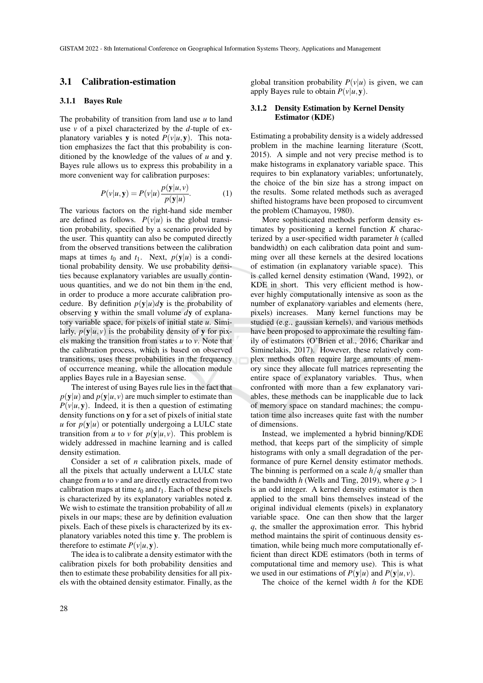### 3.1 Calibration-estimation

#### 3.1.1 Bayes Rule

The probability of transition from land use *u* to land use *v* of a pixel characterized by the *d*-tuple of explanatory variables **y** is noted  $P(v|u, y)$ . This notation emphasizes the fact that this probability is conditioned by the knowledge of the values of *u* and y. Bayes rule allows us to express this probability in a more convenient way for calibration purposes:

$$
P(v|u, \mathbf{y}) = P(v|u) \frac{p(\mathbf{y}|u, v)}{p(\mathbf{y}|u)}.
$$
 (1)

The various factors on the right-hand side member are defined as follows.  $P(v|u)$  is the global transition probability, specified by a scenario provided by the user. This quantity can also be computed directly from the observed transitions between the calibration maps at times  $t_0$  and  $t_1$ . Next,  $p(y|u)$  is a conditional probability density. We use probability densities because explanatory variables are usually continuous quantities, and we do not bin them in the end, in order to produce a more accurate calibration procedure. By definition  $p(y|u)dy$  is the probability of observing y within the small volume *d*y of explanatory variable space, for pixels of initial state *u*. Similarly,  $p(y|u, v)$  is the probability density of y for pixels making the transition from states *u* to *v*. Note that the calibration process, which is based on observed transitions, uses these probabilities in the frequency of occurrence meaning, while the allocation module applies Bayes rule in a Bayesian sense.

The interest of using Bayes rule lies in the fact that  $p(y|u)$  and  $p(y|u, v)$  are much simpler to estimate than  $P(v|u, y)$ . Indeed, it is then a question of estimating density functions on y for a set of pixels of initial state *u* for  $p(y|u)$  or potentially undergoing a LULC state transition from *u* to *v* for  $p(y|u, v)$ . This problem is widely addressed in machine learning and is called density estimation.

Consider a set of *n* calibration pixels, made of all the pixels that actually underwent a LULC state change from *u* to *v* and are directly extracted from two calibration maps at time  $t_0$  and  $t_1$ . Each of these pixels is characterized by its explanatory variables noted z. We wish to estimate the transition probability of all *m* pixels in our maps; these are by definition evaluation pixels. Each of these pixels is characterized by its explanatory variables noted this time y. The problem is therefore to estimate  $P(v|u, y)$ .

The idea is to calibrate a density estimator with the calibration pixels for both probability densities and then to estimate these probability densities for all pixels with the obtained density estimator. Finally, as the

global transition probability  $P(v|u)$  is given, we can apply Bayes rule to obtain  $P(v|u, y)$ .

### 3.1.2 Density Estimation by Kernel Density Estimator (KDE)

Estimating a probability density is a widely addressed problem in the machine learning literature (Scott, 2015). A simple and not very precise method is to make histograms in explanatory variable space. This requires to bin explanatory variables; unfortunately, the choice of the bin size has a strong impact on the results. Some related methods such as averaged shifted histograms have been proposed to circumvent the problem (Chamayou, 1980).

More sophisticated methods perform density estimates by positioning a kernel function *K* characterized by a user-specified width parameter *h* (called bandwidth) on each calibration data point and summing over all these kernels at the desired locations of estimation (in explanatory variable space). This is called kernel density estimation (Wand, 1992), or KDE in short. This very efficient method is however highly computationally intensive as soon as the number of explanatory variables and elements (here, pixels) increases. Many kernel functions may be studied (e.g., gaussian kernels), and various methods have been proposed to approximate the resulting family of estimators (O'Brien et al., 2016; Charikar and Siminelakis, 2017). However, these relatively complex methods often require large amounts of memory since they allocate full matrices representing the entire space of explanatory variables. Thus, when confronted with more than a few explanatory variables, these methods can be inapplicable due to lack of memory space on standard machines; the computation time also increases quite fast with the number of dimensions.

Instead, we implemented a hybrid binning/KDE method, that keeps part of the simplicity of simple histograms with only a small degradation of the performance of pure Kernel density estimator methods. The binning is performed on a scale *h*/*q* smaller than the bandwidth *h* (Wells and Ting, 2019), where  $q > 1$ is an odd integer. A kernel density estimator is then applied to the small bins themselves instead of the original individual elements (pixels) in explanatory variable space. One can then show that the larger *q*, the smaller the approximation error. This hybrid method maintains the spirit of continuous density estimation, while being much more computationally efficient than direct KDE estimators (both in terms of computational time and memory use). This is what we used in our estimations of  $P(y|u)$  and  $P(y|u, v)$ .

The choice of the kernel width *h* for the KDE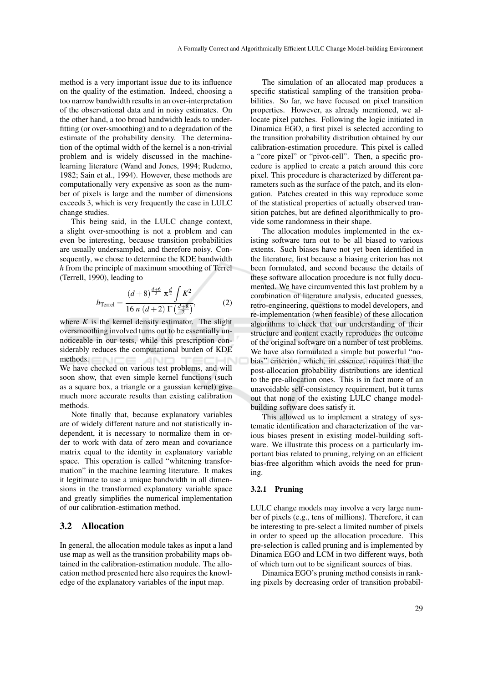method is a very important issue due to its influence on the quality of the estimation. Indeed, choosing a too narrow bandwidth results in an over-interpretation of the observational data and in noisy estimates. On the other hand, a too broad bandwidth leads to underfitting (or over-smoothing) and to a degradation of the estimate of the probability density. The determination of the optimal width of the kernel is a non-trivial problem and is widely discussed in the machinelearning literature (Wand and Jones, 1994; Rudemo, 1982; Sain et al., 1994). However, these methods are computationally very expensive as soon as the number of pixels is large and the number of dimensions exceeds 3, which is very frequently the case in LULC change studies.

This being said, in the LULC change context, a slight over-smoothing is not a problem and can even be interesting, because transition probabilities are usually undersampled, and therefore noisy. Consequently, we chose to determine the KDE bandwidth *h* from the principle of maximum smoothing of Terrel (Terrell, 1990), leading to

$$
h_{\text{Terrel}} = \frac{(d+8)^{\frac{d+6}{2}} \pi^{\frac{d}{2}} \int K^2}{16 n (d+2) \Gamma(\frac{d+8}{2})},\tag{2}
$$

where  $K$  is the kernel density estimator. The slight oversmoothing involved turns out to be essentially unnoticeable in our tests, while this prescription considerably reduces the computational burden of KDE methods. We have checked on various test problems, and will soon show, that even simple kernel functions (such as a square box, a triangle or a gaussian kernel) give

much more accurate results than existing calibration methods.

Note finally that, because explanatory variables are of widely different nature and not statistically independent, it is necessary to normalize them in order to work with data of zero mean and covariance matrix equal to the identity in explanatory variable space. This operation is called "whitening transformation" in the machine learning literature. It makes it legitimate to use a unique bandwidth in all dimensions in the transformed explanatory variable space and greatly simplifies the numerical implementation of our calibration-estimation method.

### 3.2 Allocation

In general, the allocation module takes as input a land use map as well as the transition probability maps obtained in the calibration-estimation module. The allocation method presented here also requires the knowledge of the explanatory variables of the input map.

The simulation of an allocated map produces a specific statistical sampling of the transition probabilities. So far, we have focused on pixel transition properties. However, as already mentioned, we allocate pixel patches. Following the logic initiated in Dinamica EGO, a first pixel is selected according to the transition probability distribution obtained by our calibration-estimation procedure. This pixel is called a "core pixel" or "pivot-cell". Then, a specific procedure is applied to create a patch around this core pixel. This procedure is characterized by different parameters such as the surface of the patch, and its elongation. Patches created in this way reproduce some of the statistical properties of actually observed transition patches, but are defined algorithmically to provide some randomness in their shape.

The allocation modules implemented in the existing software turn out to be all biased to various extents. Such biases have not yet been identified in the literature, first because a biasing criterion has not been formulated, and second because the details of these software allocation procedure is not fully documented. We have circumvented this last problem by a combination of literature analysis, educated guesses, retro-engineering, questions to model developers, and re-implementation (when feasible) of these allocation algorithms to check that our understanding of their structure and content exactly reproduces the outcome of the original software on a number of test problems. We have also formulated a simple but powerful "nobias" criterion, which, in essence, requires that the post-allocation probability distributions are identical to the pre-allocation ones. This is in fact more of an unavoidable self-consistency requirement, but it turns out that none of the existing LULC change modelbuilding software does satisfy it.

This allowed us to implement a strategy of systematic identification and characterization of the various biases present in existing model-building software. We illustrate this process on a particularly important bias related to pruning, relying on an efficient bias-free algorithm which avoids the need for pruning.

### 3.2.1 Pruning

LULC change models may involve a very large number of pixels (e.g., tens of millions). Therefore, it can be interesting to pre-select a limited number of pixels in order to speed up the allocation procedure. This pre-selection is called pruning and is implemented by Dinamica EGO and LCM in two different ways, both of which turn out to be significant sources of bias.

Dinamica EGO's pruning method consists in ranking pixels by decreasing order of transition probabil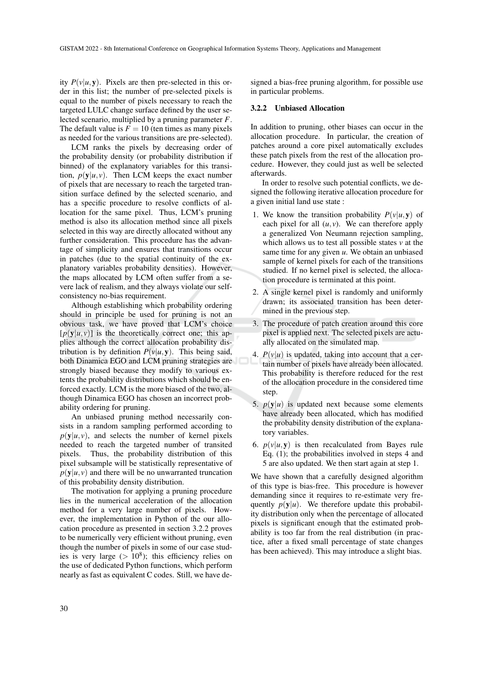ity  $P(v|u, y)$ . Pixels are then pre-selected in this order in this list; the number of pre-selected pixels is equal to the number of pixels necessary to reach the targeted LULC change surface defined by the user selected scenario, multiplied by a pruning parameter *F*. The default value is  $F = 10$  (ten times as many pixels as needed for the various transitions are pre-selected).

LCM ranks the pixels by decreasing order of the probability density (or probability distribution if binned) of the explanatory variables for this transition,  $p(\mathbf{v}|\mathbf{u}, \mathbf{v})$ . Then LCM keeps the exact number of pixels that are necessary to reach the targeted transition surface defined by the selected scenario, and has a specific procedure to resolve conflicts of allocation for the same pixel. Thus, LCM's pruning method is also its allocation method since all pixels selected in this way are directly allocated without any further consideration. This procedure has the advantage of simplicity and ensures that transitions occur in patches (due to the spatial continuity of the explanatory variables probability densities). However, the maps allocated by LCM often suffer from a severe lack of realism, and they always violate our selfconsistency no-bias requirement.

Although establishing which probability ordering should in principle be used for pruning is not an obvious task, we have proved that LCM's choice  $[p(y|u, v)]$  is the theoretically correct one; this applies although the correct allocation probability distribution is by definition  $P(v|u, y)$ . This being said, both Dinamica EGO and LCM pruning strategies are strongly biased because they modify to various extents the probability distributions which should be enforced exactly. LCM is the more biased of the two, although Dinamica EGO has chosen an incorrect probability ordering for pruning.

An unbiased pruning method necessarily consists in a random sampling performed according to  $p(y|u, v)$ , and selects the number of kernel pixels needed to reach the targeted number of transited pixels. Thus, the probability distribution of this pixel subsample will be statistically representative of  $p(y|u, v)$  and there will be no unwarranted truncation of this probability density distribution.

The motivation for applying a pruning procedure lies in the numerical acceleration of the allocation method for a very large number of pixels. However, the implementation in Python of the our allocation procedure as presented in section 3.2.2 proves to be numerically very efficient without pruning, even though the number of pixels in some of our case studies is very large  $(>10^8)$ ; this efficiency relies on the use of dedicated Python functions, which perform nearly as fast as equivalent C codes. Still, we have de-

signed a bias-free pruning algorithm, for possible use in particular problems.

### 3.2.2 Unbiased Allocation

In addition to pruning, other biases can occur in the allocation procedure. In particular, the creation of patches around a core pixel automatically excludes these patch pixels from the rest of the allocation procedure. However, they could just as well be selected afterwards.

In order to resolve such potential conflicts, we designed the following iterative allocation procedure for a given initial land use state :

- 1. We know the transition probability  $P(v|u, y)$  of each pixel for all  $(u, v)$ . We can therefore apply a generalized Von Neumann rejection sampling, which allows us to test all possible states *v* at the same time for any given *u*. We obtain an unbiased sample of kernel pixels for each of the transitions studied. If no kernel pixel is selected, the allocation procedure is terminated at this point.
- 2. A single kernel pixel is randomly and uniformly drawn; its associated transition has been determined in the previous step.
- 3. The procedure of patch creation around this core pixel is applied next. The selected pixels are actually allocated on the simulated map.
- 4.  $P(v|u)$  is updated, taking into account that a certain number of pixels have already been allocated. This probability is therefore reduced for the rest of the allocation procedure in the considered time step.
- 5.  $p(y|u)$  is updated next because some elements have already been allocated, which has modified the probability density distribution of the explanatory variables.
- 6.  $p(v|u, y)$  is then recalculated from Bayes rule Eq. (1); the probabilities involved in steps 4 and 5 are also updated. We then start again at step 1.

We have shown that a carefully designed algorithm of this type is bias-free. This procedure is however demanding since it requires to re-estimate very frequently  $p(y|u)$ . We therefore update this probability distribution only when the percentage of allocated pixels is significant enough that the estimated probability is too far from the real distribution (in practice, after a fixed small percentage of state changes has been achieved). This may introduce a slight bias.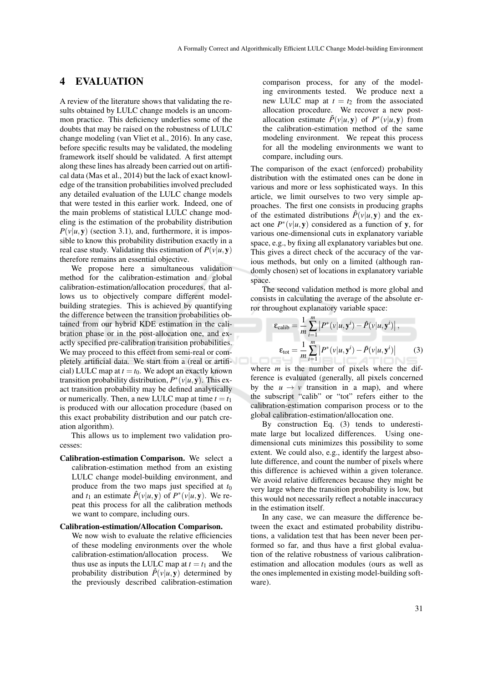## 4 EVALUATION

A review of the literature shows that validating the results obtained by LULC change models is an uncommon practice. This deficiency underlies some of the doubts that may be raised on the robustness of LULC change modeling (van Vliet et al., 2016). In any case, before specific results may be validated, the modeling framework itself should be validated. A first attempt along these lines has already been carried out on artifical data (Mas et al., 2014) but the lack of exact knowledge of the transition probabilities involved precluded any detailed evaluation of the LULC change models that were tested in this earlier work. Indeed, one of the main problems of statistical LULC change modeling is the estimation of the probability distribution  $P(v|u, y)$  (section 3.1), and, furthermore, it is impossible to know this probability distribution exactly in a real case study. Validating this estimation of  $P(v|u, y)$ therefore remains an essential objective.

We propose here a simultaneous validation method for the calibration-estimation and global calibration-estimation/allocation procedures, that allows us to objectively compare different modelbuilding strategies. This is achieved by quantifying the difference between the transition probabilities obtained from our hybrid KDE estimation in the calibration phase or in the post-allocation one, and exactly specified pre-calibration transition probabilities. We may proceed to this effect from semi-real or completely artificial data. We start from a (real or artificial) LULC map at  $t = t_0$ . We adopt an exactly known transition probability distribution,  $P^*(v|u, y)$ . This exact transition probability may be defined analytically or numerically. Then, a new LULC map at time  $t = t_1$ is produced with our allocation procedure (based on this exact probability distribution and our patch creation algorithm).

This allows us to implement two validation processes:

Calibration-estimation Comparison. We select a calibration-estimation method from an existing LULC change model-building environment, and produce from the two maps just specified at *t*<sup>0</sup> and  $t_1$  an estimate  $\hat{P}(v|u, y)$  of  $P^*(v|u, y)$ . We repeat this process for all the calibration methods we want to compare, including ours.

#### Calibration-estimation/Allocation Comparison.

We now wish to evaluate the relative efficiencies of these modeling environments over the whole calibration-estimation/allocation process. We thus use as inputs the LULC map at  $t = t_1$  and the probability distribution  $\hat{P}(v|u, y)$  determined by the previously described calibration-estimation

comparison process, for any of the modeling environments tested. We produce next a new LULC map at  $t = t_2$  from the associated allocation procedure. We recover a new postallocation estimate  $\tilde{P}(v|u, y)$  of  $P^*(v|u, y)$  from the calibration-estimation method of the same modeling environment. We repeat this process for all the modeling environments we want to compare, including ours.

The comparison of the exact (enforced) probability distribution with the estimated ones can be done in various and more or less sophisticated ways. In this article, we limit ourselves to two very simple approaches. The first one consists in producing graphs of the estimated distributions  $\hat{P}(v|u, y)$  and the exact one  $P^*(v|u, y)$  considered as a function of y, for various one-dimensional cuts in explanatory variable space, e.g., by fixing all explanatory variables but one. This gives a direct check of the accuracy of the various methods, but only on a limited (although randomly chosen) set of locations in explanatory variable space.

The second validation method is more global and consists in calculating the average of the absolute error throughout explanatory variable space:

$$
\varepsilon_{\text{calib}} = \frac{1}{m} \sum_{i=1}^{m} \left| P^*(v|u, \mathbf{y}^i) - \hat{P}(v|u, \mathbf{y}^i) \right|,
$$
  

$$
\varepsilon_{\text{tot}} = \frac{1}{m} \sum_{i=1}^{m} \left| P^*(v|u, \mathbf{y}^i) - \tilde{P}(v|u, \mathbf{y}^i) \right|
$$
 (3)

where *m* is the number of pixels where the difference is evaluated (generally, all pixels concerned by the  $u \rightarrow v$  transition in a map), and where the subscript "calib" or "tot" refers either to the calibration-estimation comparison process or to the global calibration-estimation/allocation one.

By construction Eq. (3) tends to underestimate large but localized differences. Using onedimensional cuts minimizes this possibility to some extent. We could also, e.g., identify the largest absolute difference, and count the number of pixels where this difference is achieved within a given tolerance. We avoid relative differences because they might be very large where the transition probability is low, but this would not necessarily reflect a notable inaccuracy in the estimation itself.

In any case, we can measure the difference between the exact and estimated probability distributions, a validation test that has been never been performed so far, and thus have a first global evaluation of the relative robustness of various calibrationestimation and allocation modules (ours as well as the ones implemented in existing model-building software).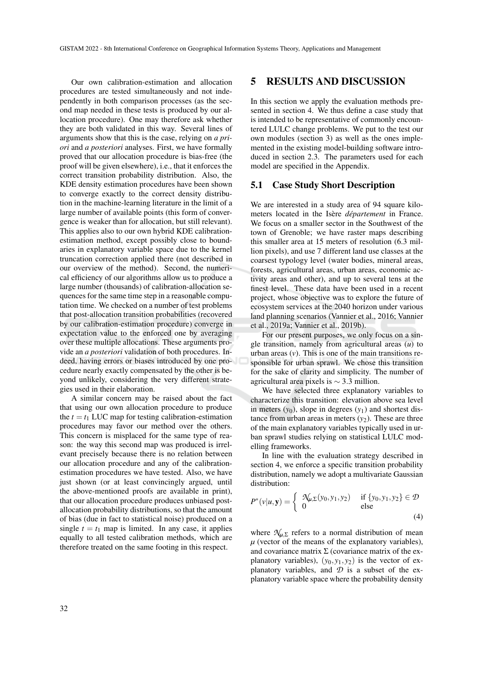Our own calibration-estimation and allocation procedures are tested simultaneously and not independently in both comparison processes (as the second map needed in these tests is produced by our allocation procedure). One may therefore ask whether they are both validated in this way. Several lines of arguments show that this is the case, relying on *a priori* and *a posteriori* analyses. First, we have formally proved that our allocation procedure is bias-free (the proof will be given elsewhere), i.e., that it enforces the correct transition probability distribution. Also, the KDE density estimation procedures have been shown to converge exactly to the correct density distribution in the machine-learning literature in the limit of a large number of available points (this form of convergence is weaker than for allocation, but still relevant). This applies also to our own hybrid KDE calibrationestimation method, except possibly close to boundaries in explanatory variable space due to the kernel truncation correction applied there (not described in our overview of the method). Second, the numerical efficiency of our algorithms allow us to produce a large number (thousands) of calibration-allocation sequences for the same time step in a reasonable computation time. We checked on a number of test problems that post-allocation transition probabilities (recovered by our calibration-estimation procedure) converge in expectation value to the enforced one by averaging over these multiple allocations. These arguments provide an *a posteriori* validation of both procedures. Indeed, having errors or biases introduced by one procedure nearly exactly compensated by the other is beyond unlikely, considering the very different strategies used in their elaboration.

A similar concern may be raised about the fact that using our own allocation procedure to produce the  $t = t_1$  LUC map for testing calibration-estimation procedures may favor our method over the others. This concern is misplaced for the same type of reason: the way this second map was produced is irrelevant precisely because there is no relation between our allocation procedure and any of the calibrationestimation procedures we have tested. Also, we have just shown (or at least convincingly argued, until the above-mentioned proofs are available in print), that our allocation procedure produces unbiased postallocation probability distributions, so that the amount of bias (due in fact to statistical noise) produced on a single  $t = t_1$  map is limited. In any case, it applies equally to all tested calibration methods, which are therefore treated on the same footing in this respect.

## 5 RESULTS AND DISCUSSION

In this section we apply the evaluation methods presented in section 4. We thus define a case study that is intended to be representative of commonly encountered LULC change problems. We put to the test our own modules (section 3) as well as the ones implemented in the existing model-building software introduced in section 2.3. The parameters used for each model are specified in the Appendix.

### 5.1 Case Study Short Description

We are interested in a study area of 94 square kilometers located in the Isère *département* in France. We focus on a smaller sector in the Southwest of the town of Grenoble; we have raster maps describing this smaller area at 15 meters of resolution (6.3 million pixels), and use 7 different land use classes at the coarsest typology level (water bodies, mineral areas, forests, agricultural areas, urban areas, economic activity areas and other), and up to several tens at the finest level. These data have been used in a recent project, whose objective was to explore the future of ecosystem services at the 2040 horizon under various land planning scenarios (Vannier et al., 2016; Vannier et al., 2019a; Vannier et al., 2019b).

For our present purposes, we only focus on a single transition, namely from agricultural areas (*u*) to urban areas  $(v)$ . This is one of the main transitions responsible for urban sprawl. We chose this transition for the sake of clarity and simplicity. The number of agricultural area pixels is ∼ 3.3 million.

We have selected three explanatory variables to characterize this transition: elevation above sea level in meters  $(y_0)$ , slope in degrees  $(y_1)$  and shortest distance from urban areas in meters  $(y_2)$ . These are three of the main explanatory variables typically used in urban sprawl studies relying on statistical LULC modelling frameworks.

In line with the evaluation strategy described in section 4, we enforce a specific transition probability distribution, namely we adopt a multivariate Gaussian distribution:

$$
P^*(v|u, \mathbf{y}) = \begin{cases} \n\mathcal{N}_{u, \Sigma}(y_0, y_1, y_2) & \text{if } \{y_0, y_1, y_2\} \in \mathcal{D} \\ \n0 & \text{else} \n\end{cases} \tag{4}
$$

where  $\mathcal{N}_{\mu,\Sigma}$  refers to a normal distribution of mean  $\mu$  (vector of the means of the explanatory variables), and covariance matrix  $\Sigma$  (covariance matrix of the explanatory variables),  $(y_0, y_1, y_2)$  is the vector of explanatory variables, and *D* is a subset of the explanatory variable space where the probability density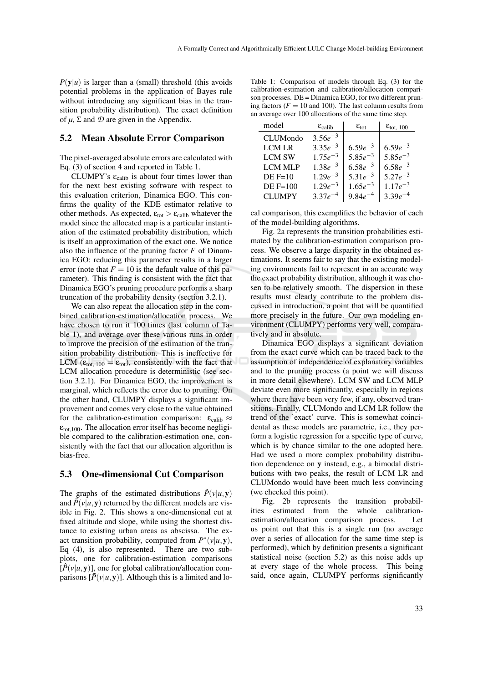$P(y|u)$  is larger than a (small) threshold (this avoids potential problems in the application of Bayes rule without introducing any significant bias in the transition probability distribution). The exact definition of  $\mu$ ,  $\Sigma$  and  $\mathcal D$  are given in the Appendix.

### 5.2 Mean Absolute Error Comparison

The pixel-averaged absolute errors are calculated with Eq. (3) of section 4 and reported in Table 1.

CLUMPY's  $\varepsilon_{\text{calib}}$  is about four times lower than for the next best existing software with respect to this evaluation criterion, Dinamica EGO. This confirms the quality of the KDE estimator relative to other methods. As expected,  $\varepsilon_{\text{tot}} > \varepsilon_{\text{calib}}$  whatever the model since the allocated map is a particular instantiation of the estimated probability distribution, which is itself an approximation of the exact one. We notice also the influence of the pruning factor *F* of Dinamica EGO: reducing this parameter results in a larger error (note that  $F = 10$  is the default value of this parameter). This finding is consistent with the fact that Dinamica EGO's pruning procedure performs a sharp truncation of the probability density (section 3.2.1).

We can also repeat the allocation step in the combined calibration-estimation/allocation process. We have chosen to run it 100 times (last column of Table 1), and average over these various runs in order to improve the precision of the estimation of the transition probability distribution. This is ineffective for LCM ( $\varepsilon_{\text{tot, 100}} = \varepsilon_{\text{tot}}$ ), consistently with the fact that LCM allocation procedure is deterministic (see section 3.2.1). For Dinamica EGO, the improvement is marginal, which reflects the error due to pruning. On the other hand, CLUMPY displays a significant improvement and comes very close to the value obtained for the calibration-estimation comparison:  $\varepsilon_{\text{calib}} \approx$  $\varepsilon$ <sub>tot,100</sub>. The allocation error itself has become negligible compared to the calibration-estimation one, consistently with the fact that our allocation algorithm is bias-free.

#### 5.3 One-dimensional Cut Comparison

The graphs of the estimated distributions  $\hat{P}(v|u, v)$ and  $\tilde{P}(v|u, v)$  returned by the different models are visible in Fig. 2. This shows a one-dimensional cut at fixed altitude and slope, while using the shortest distance to existing urban areas as abscissa. The exact transition probability, computed from  $P^*(v|u, y)$ , Eq (4), is also represented. There are two subplots, one for calibration-estimation comparisons  $[\hat{P}(v|u, v)]$ , one for global calibration/allocation comparisons  $[\tilde{P}(v|u, y)]$ . Although this is a limited and lo-

Table 1: Comparison of models through Eq. (3) for the calibration-estimation and calibration/allocation comparison processes. DE = Dinamica EGO, for two different pruning factors  $(F = 10$  and 100). The last column results from an average over 100 allocations of the same time step.

| model           | $\epsilon_{\rm calib}$ | $\epsilon_{\rm tot}$ | $\epsilon_{\text{tot}, 100}$ |
|-----------------|------------------------|----------------------|------------------------------|
| <b>CLUMondo</b> | $3.56e^{-3}$           |                      |                              |
| LCM LR          | $3.35e^{-3}$           | $6.59e^{-3}$         | $6.59e^{-3}$                 |
| <b>LCM SW</b>   | $1.75e^{-3}$           | $5.85e^{-3}$         | $5.85e^{-3}$                 |
| <b>LCM MLP</b>  | $1.38e^{-3}$           | $6.58e^{-3}$         | $6.58e^{-3}$                 |
| $DE$ F=10       | $1.29e^{-3}$           | $5.31e^{-3}$         | $5.27e^{-3}$                 |
| $DE$ F=100      | $1.29e^{-3}$           | $1.65e^{-3}$         | $1.17e^{-3}$                 |
| <b>CLUMPY</b>   | $3.37e^{-4}$           | $9.84e^{-4}$         | $3.39e^{-4}$                 |

cal comparison, this exemplifies the behavior of each of the model-building algorithms.

Fig. 2a represents the transition probabilities estimated by the calibration-estimation comparison process. We observe a large disparity in the obtained estimations. It seems fair to say that the existing modeling environments fail to represent in an accurate way the exact probability distribution, although it was chosen to be relatively smooth. The dispersion in these results must clearly contribute to the problem discussed in introduction, a point that will be quantified more precisely in the future. Our own modeling environment (CLUMPY) performs very well, comparatively and in absolute.

Dinamica EGO displays a significant deviation from the exact curve which can be traced back to the assumption of independence of explanatory variables and to the pruning process (a point we will discuss in more detail elsewhere). LCM SW and LCM MLP deviate even more significantly, especially in regions where there have been very few, if any, observed transitions. Finally, CLUMondo and LCM LR follow the trend of the 'exact' curve. This is somewhat coincidental as these models are parametric, i.e., they perform a logistic regression for a specific type of curve, which is by chance similar to the one adopted here. Had we used a more complex probability distribution dependence on y instead, e.g., a bimodal distributions with two peaks, the result of LCM LR and CLUMondo would have been much less convincing (we checked this point).

Fig. 2b represents the transition probabilities estimated from the whole calibrationestimation/allocation comparison process. Let us point out that this is a single run (no average over a series of allocation for the same time step is performed), which by definition presents a significant statistical noise (section 5.2) as this noise adds up at every stage of the whole process. This being said, once again, CLUMPY performs significantly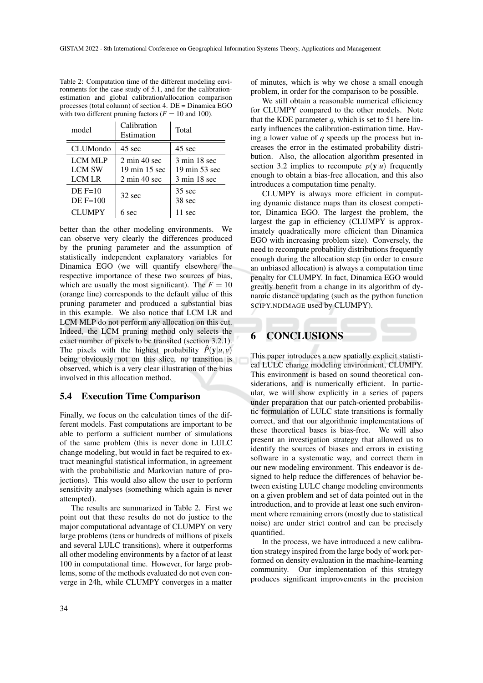| Table 2: Computation time of the different modeling envi-    |
|--------------------------------------------------------------|
| ronments for the case study of 5.1, and for the calibration- |
| estimation and global calibration/allocation comparison      |
| processes (total column) of section 4. $DE = Dinamica EGO$   |
| with two different pruning factors $(F = 10$ and 100).       |
|                                                              |

| model                                     | Calibration<br>Estimation                                                           | Total                                                           |  |
|-------------------------------------------|-------------------------------------------------------------------------------------|-----------------------------------------------------------------|--|
| <b>CLUMondo</b>                           | $45 \text{ sec}$                                                                    | 45 sec                                                          |  |
| <b>LCM MLP</b><br><b>LCM SW</b><br>LCM LR | $2 \text{ min } 40 \text{ sec}$<br>19 min 15 sec<br>$2 \text{ min } 40 \text{ sec}$ | $3 \text{ min} 18 \text{ sec}$<br>19 min 53 sec<br>3 min 18 sec |  |
| $DE$ F=10<br>$DE$ F=100                   | $32$ sec                                                                            | $35 \text{ sec}$<br>38 sec                                      |  |
| <b>CLUMPY</b>                             | sec                                                                                 | 11 sec                                                          |  |

better than the other modeling environments. We can observe very clearly the differences produced by the pruning parameter and the assumption of statistically independent explanatory variables for Dinamica EGO (we will quantify elsewhere the respective importance of these two sources of bias, which are usually the most significant). The  $F = 10$ (orange line) corresponds to the default value of this pruning parameter and produced a substantial bias in this example. We also notice that LCM LR and LCM MLP do not perform any allocation on this cut. Indeed, the LCM pruning method only selects the exact number of pixels to be transited (section 3.2.1). The pixels with the highest probability  $\hat{P}(\mathbf{y}|u, v)$ being obviously not on this slice, no transition is observed, which is a very clear illustration of the bias involved in this allocation method.

### 5.4 Execution Time Comparison

Finally, we focus on the calculation times of the different models. Fast computations are important to be able to perform a sufficient number of simulations of the same problem (this is never done in LULC change modeling, but would in fact be required to extract meaningful statistical information, in agreement with the probabilistic and Markovian nature of projections). This would also allow the user to perform sensitivity analyses (something which again is never attempted).

The results are summarized in Table 2. First we point out that these results do not do justice to the major computational advantage of CLUMPY on very large problems (tens or hundreds of millions of pixels and several LULC transitions), where it outperforms all other modeling environments by a factor of at least 100 in computational time. However, for large problems, some of the methods evaluated do not even converge in 24h, while CLUMPY converges in a matter

of minutes, which is why we chose a small enough problem, in order for the comparison to be possible.

We still obtain a reasonable numerical efficiency for CLUMPY compared to the other models. Note that the KDE parameter  $q$ , which is set to 51 here linearly influences the calibration-estimation time. Having a lower value of *q* speeds up the process but increases the error in the estimated probability distribution. Also, the allocation algorithm presented in section 3.2 implies to recompute  $p(\mathbf{v}|u)$  frequently enough to obtain a bias-free allocation, and this also introduces a computation time penalty.

CLUMPY is always more efficient in computing dynamic distance maps than its closest competitor, Dinamica EGO. The largest the problem, the largest the gap in efficiency (CLUMPY is approximately quadratically more efficient than Dinamica EGO with increasing problem size). Conversely, the need to recompute probability distributions frequently enough during the allocation step (in order to ensure an unbiased allocation) is always a computation time penalty for CLUMPY. In fact, Dinamica EGO would greatly benefit from a change in its algorithm of dynamic distance updating (such as the python function SCIPY.NDIMAGE used by CLUMPY).

## 6 CONCLUSIONS

This paper introduces a new spatially explicit statistical LULC change modeling environment, CLUMPY. This environment is based on sound theoretical considerations, and is numerically efficient. In particular, we will show explicitly in a series of papers under preparation that our patch-oriented probabilistic formulation of LULC state transitions is formally correct, and that our algorithmic implementations of these theoretical bases is bias-free. We will also present an investigation strategy that allowed us to identify the sources of biases and errors in existing software in a systematic way, and correct them in our new modeling environment. This endeavor is designed to help reduce the differences of behavior between existing LULC change modeling environments on a given problem and set of data pointed out in the introduction, and to provide at least one such environment where remaining errors (mostly due to statistical noise) are under strict control and can be precisely quantified.

In the process, we have introduced a new calibration strategy inspired from the large body of work performed on density evaluation in the machine-learning community. Our implementation of this strategy produces significant improvements in the precision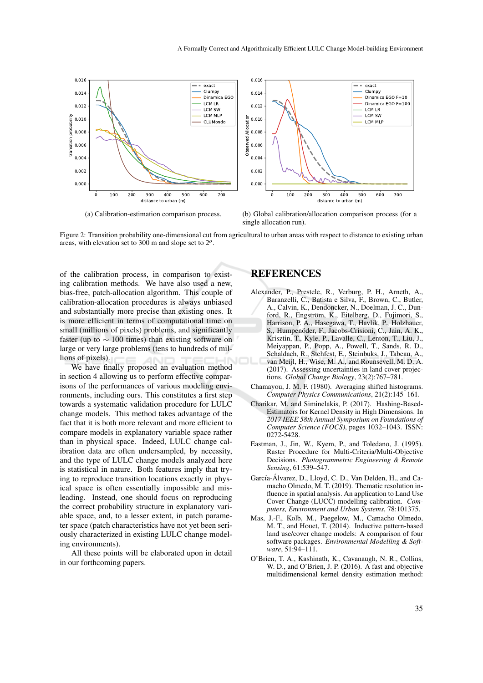

(a) Calibration-estimation comparison process.

(b) Global calibration/allocation comparison process (for a single allocation run).

Figure 2: Transition probability one-dimensional cut from agricultural to urban areas with respect to distance to existing urban areas, with elevation set to 300 m and slope set to 2*<sup>o</sup>* .

of the calibration process, in comparison to existing calibration methods. We have also used a new, bias-free, patch-allocation algorithm. This couple of calibration-allocation procedures is always unbiased and substantially more precise than existing ones. It is more efficient in terms of computational time on small (millions of pixels) problems, and significantly faster (up to  $\sim$  100 times) than existing software on large or very large problems (tens to hundreds of millions of pixels).

We have finally proposed an evaluation method in section 4 allowing us to perform effective comparisons of the performances of various modeling environments, including ours. This constitutes a first step towards a systematic validation procedure for LULC change models. This method takes advantage of the fact that it is both more relevant and more efficient to compare models in explanatory variable space rather than in physical space. Indeed, LULC change calibration data are often undersampled, by necessity, and the type of LULC change models analyzed here is statistical in nature. Both features imply that trying to reproduce transition locations exactly in physical space is often essentially impossible and misleading. Instead, one should focus on reproducing the correct probability structure in explanatory variable space, and, to a lesser extent, in patch parameter space (patch characteristics have not yet been seriously characterized in existing LULC change modeling environments).

All these points will be elaborated upon in detail in our forthcoming papers.

### REFERENCES

- Alexander, P., Prestele, R., Verburg, P. H., Arneth, A., Baranzelli, C., Batista e Silva, F., Brown, C., Butler, A., Calvin, K., Dendoncker, N., Doelman, J. C., Dunford, R., Engström, K., Eitelberg, D., Fujimori, S., Harrison, P. A., Hasegawa, T., Havlik, P., Holzhauer, S., Humpenöder, F., Jacobs-Crisioni, C., Jain, A. K., Krisztin, T., Kyle, P., Lavalle, C., Lenton, T., Liu, J., Meiyappan, P., Popp, A., Powell, T., Sands, R. D., Schaldach, R., Stehfest, E., Steinbuks, J., Tabeau, A., van Meijl, H., Wise, M. A., and Rounsevell, M. D. A. (2017). Assessing uncertainties in land cover projections. *Global Change Biology*, 23(2):767–781.
- Chamayou, J. M. F. (1980). Averaging shifted histograms. *Computer Physics Communications*, 21(2):145–161.
- Charikar, M. and Siminelakis, P. (2017). Hashing-Based-Estimators for Kernel Density in High Dimensions. In *2017 IEEE 58th Annual Symposium on Foundations of Computer Science (FOCS)*, pages 1032–1043. ISSN: 0272-5428.
- Eastman, J., Jin, W., Kyem, P., and Toledano, J. (1995). Raster Procedure for Multi-Criteria/Multi-Objective Decisions. *Photogrammetric Engineering & Remote Sensing*, 61:539–547.
- García-Álvarez, D., Lloyd, C. D., Van Delden, H., and Camacho Olmedo, M. T. (2019). Thematic resolution influence in spatial analysis. An application to Land Use Cover Change (LUCC) modelling calibration. *Computers, Environment and Urban Systems*, 78:101375.
- Mas, J.-F., Kolb, M., Paegelow, M., Camacho Olmedo, M. T., and Houet, T. (2014). Inductive pattern-based land use/cover change models: A comparison of four software packages. *Environmental Modelling & Software*, 51:94–111.
- O'Brien, T. A., Kashinath, K., Cavanaugh, N. R., Collins, W. D., and O'Brien, J. P. (2016). A fast and objective multidimensional kernel density estimation method: